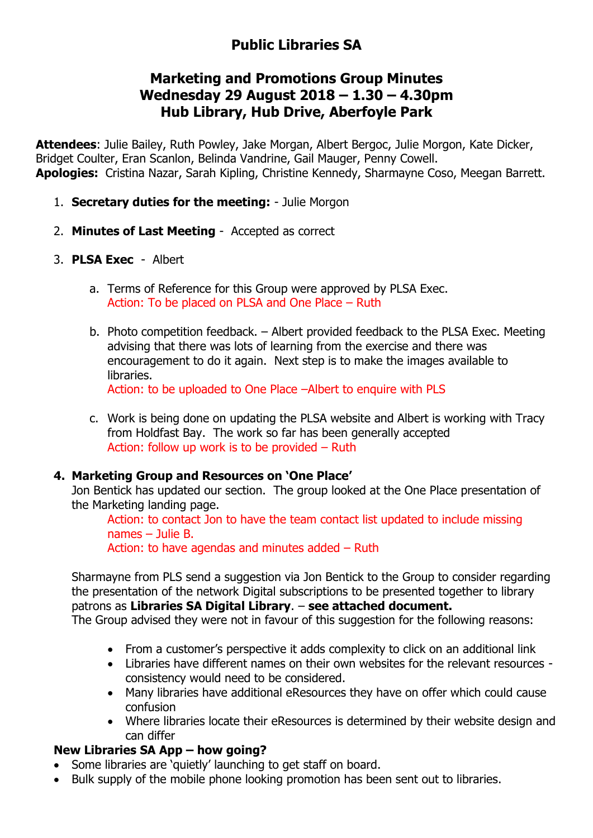# **Public Libraries SA**

# **Marketing and Promotions Group Minutes Wednesday 29 August 2018 – 1.30 – 4.30pm Hub Library, Hub Drive, Aberfoyle Park**

**Attendees**: Julie Bailey, Ruth Powley, Jake Morgan, Albert Bergoc, Julie Morgon, Kate Dicker, Bridget Coulter, Eran Scanlon, Belinda Vandrine, Gail Mauger, Penny Cowell. **Apologies:** Cristina Nazar, Sarah Kipling, Christine Kennedy, Sharmayne Coso, Meegan Barrett.

- 1. **Secretary duties for the meeting:** Julie Morgon
- 2. **Minutes of Last Meeting** Accepted as correct
- 3. **PLSA Exec** Albert
	- a. Terms of Reference for this Group were approved by PLSA Exec. Action: To be placed on PLSA and One Place – Ruth
	- b. Photo competition feedback. Albert provided feedback to the PLSA Exec. Meeting advising that there was lots of learning from the exercise and there was encouragement to do it again. Next step is to make the images available to libraries.

Action: to be uploaded to One Place –Albert to enquire with PLS

c. Work is being done on updating the PLSA website and Albert is working with Tracy from Holdfast Bay. The work so far has been generally accepted Action: follow up work is to be provided – Ruth

#### **4. Marketing Group and Resources on 'One Place'**

Jon Bentick has updated our section. The group looked at the One Place presentation of the Marketing landing page.

Action: to contact Jon to have the team contact list updated to include missing names – Julie B. Action: to have agendas and minutes added – Ruth

Sharmayne from PLS send a suggestion via Jon Bentick to the Group to consider regarding the presentation of the network Digital subscriptions to be presented together to library patrons as **Libraries SA Digital Library**. – **see attached document.**

The Group advised they were not in favour of this suggestion for the following reasons:

- From a customer's perspective it adds complexity to click on an additional link
- Libraries have different names on their own websites for the relevant resources consistency would need to be considered.
- Many libraries have additional eResources they have on offer which could cause confusion
- Where libraries locate their eResources is determined by their website design and can differ

#### **New Libraries SA App – how going?**

- Some libraries are 'quietly' launching to get staff on board.
- Bulk supply of the mobile phone looking promotion has been sent out to libraries.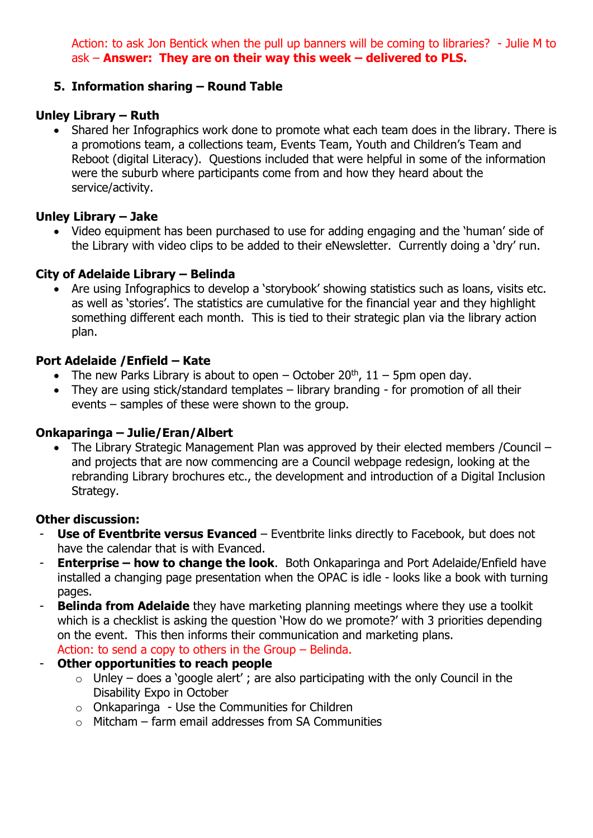Action: to ask Jon Bentick when the pull up banners will be coming to libraries? - Julie M to ask – **Answer: They are on their way this week – delivered to PLS.**

# **5. Information sharing – Round Table**

# **Unley Library – Ruth**

• Shared her Infographics work done to promote what each team does in the library. There is a promotions team, a collections team, Events Team, Youth and Children's Team and Reboot (digital Literacy). Questions included that were helpful in some of the information were the suburb where participants come from and how they heard about the service/activity.

# **Unley Library – Jake**

• Video equipment has been purchased to use for adding engaging and the 'human' side of the Library with video clips to be added to their eNewsletter. Currently doing a 'dry' run.

# **City of Adelaide Library – Belinda**

• Are using Infographics to develop a 'storybook' showing statistics such as loans, visits etc. as well as 'stories'. The statistics are cumulative for the financial year and they highlight something different each month. This is tied to their strategic plan via the library action plan.

# **Port Adelaide /Enfield – Kate**

- The new Parks Library is about to open October 20<sup>th</sup>,  $11 5$ pm open day.
- They are using stick/standard templates library branding for promotion of all their events – samples of these were shown to the group.

#### **Onkaparinga – Julie/Eran/Albert**

• The Library Strategic Management Plan was approved by their elected members / Council – and projects that are now commencing are a Council webpage redesign, looking at the rebranding Library brochures etc., the development and introduction of a Digital Inclusion Strategy.

#### **Other discussion:**

- **Use of Eventbrite versus Evanced** Eventbrite links directly to Facebook, but does not have the calendar that is with Evanced.
- **Enterprise – how to change the look**. Both Onkaparinga and Port Adelaide/Enfield have installed a changing page presentation when the OPAC is idle - looks like a book with turning pages.
- **Belinda from Adelaide** they have marketing planning meetings where they use a toolkit which is a checklist is asking the question 'How do we promote?' with 3 priorities depending on the event. This then informs their communication and marketing plans. Action: to send a copy to others in the Group – Belinda.
- **Other opportunities to reach people** 
	- $\circ$  Unley does a 'google alert'; are also participating with the only Council in the Disability Expo in October
	- $\circ$  Onkaparinga Use the Communities for Children
	- $\circ$  Mitcham farm email addresses from SA Communities